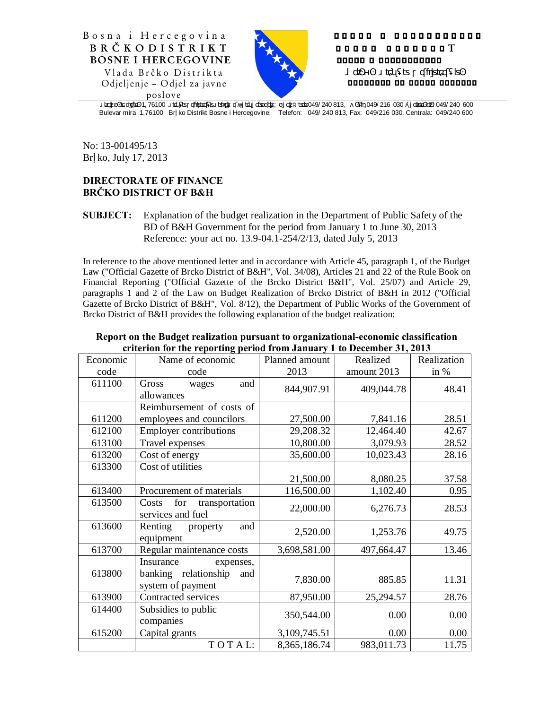



## о с оо о о в о в о в о в о в о в и н Б Р Ч К О Д И С Т Р И К T босно и особосовот

одододо од додод дододод

poslove

булевар 1, 76100 Брчко Дистрикт Босне Херцеговине; Телефон: 049/ 240 813,  $\pm$  049/ 216 030  $\pm$  049/ 240 600

Bulevar mira 1,76100 Br ko Distrikt Bosne i Hercegovine; Telefon: 049/ 240 813, Fax: 049/216 030, Centrala: 049/240 600

No: 13-001495/13 Br ko, July 17, 2013

## **DIRECTORATE OF FINANCE BRČKO DISTRICT OF B&H**

**SUBJECT:** Explanation of the budget realization in the Department of Public Safety of the BD of B&H Government for the period from January 1 to June 30, 2013 Reference: your act no. 13.9-04.1-254/2/13, dated July 5, 2013

In reference to the above mentioned letter and in accordance with Article 45, paragraph 1, of the Budget Law ("Official Gazette of Brcko District of B&H", Vol. 34/08), Articles 21 and 22 of the Rule Book on Financial Reporting ("Official Gazette of the Brcko District B&H", Vol. 25/07) and Article 29, paragraphs 1 and 2 of the Law on Budget Realization of Brcko District of B&H in 2012 ("Official Gazette of Brcko District of B&H", Vol. 8/12), the Department of Public Works of the Government of Brcko District of B&H provides the following explanation of the budget realization:

| Economic | Name of economic                                                           | Planned amount | Realized    | Realization |
|----------|----------------------------------------------------------------------------|----------------|-------------|-------------|
| code     | code                                                                       | 2013           | amount 2013 | in %        |
| 611100   | and<br>Gross<br>wages<br>allowances                                        | 844,907.91     | 409,044.78  | 48.41       |
|          | Reimbursement of costs of                                                  |                |             |             |
| 611200   | employees and councilors                                                   | 27,500.00      | 7,841.16    | 28.51       |
| 612100   | <b>Employer contributions</b>                                              | 29,208.32      | 12,464.40   | 42.67       |
| 613100   | Travel expenses                                                            | 10,800.00      | 3,079.93    | 28.52       |
| 613200   | Cost of energy                                                             | 35,600.00      | 10,023.43   | 28.16       |
| 613300   | Cost of utilities                                                          |                |             |             |
|          |                                                                            | 21,500.00      | 8,080.25    | 37.58       |
| 613400   | Procurement of materials                                                   | 116,500.00     | 1,102.40    | 0.95        |
| 613500   | for<br>transportation<br>Costs<br>services and fuel                        | 22,000.00      | 6,276.73    | 28.53       |
| 613600   | Renting<br>and<br>property<br>equipment                                    | 2,520.00       | 1,253.76    | 49.75       |
| 613700   | Regular maintenance costs                                                  | 3,698,581.00   | 497,664.47  | 13.46       |
| 613800   | Insurance<br>expenses,<br>banking relationship<br>and<br>system of payment | 7,830.00       | 885.85      | 11.31       |
| 613900   | Contracted services                                                        | 87,950.00      | 25,294.57   | 28.76       |
| 614400   | Subsidies to public<br>companies                                           | 350,544.00     | 0.00        | 0.00        |
| 615200   | Capital grants                                                             | 3,109,745.51   | 0.00        | 0.00        |
|          | TOTAL:                                                                     | 8,365,186.74   | 983,011.73  | 11.75       |

## **Report on the Budget realization pursuant to organizational-economic classification criterion for the reporting period from January 1 to December 31, 2013**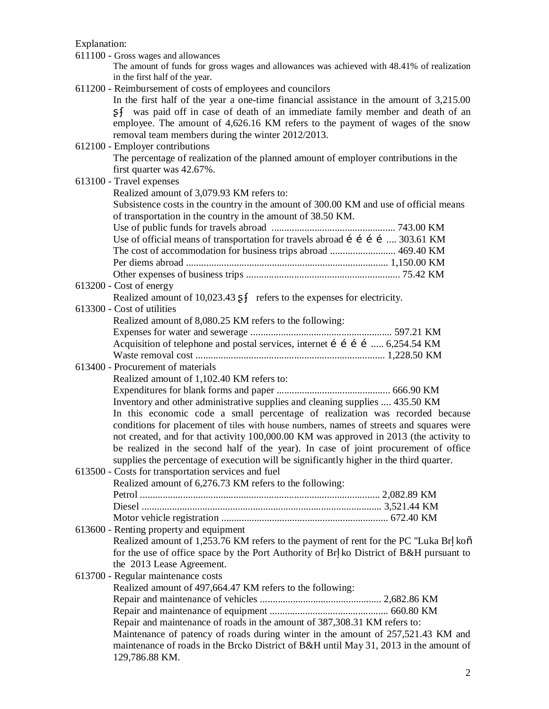Explanation:

| 611100 - Gross wages and allowances                                                                                          |
|------------------------------------------------------------------------------------------------------------------------------|
| The amount of funds for gross wages and allowances was achieved with 48.41% of realization<br>in the first half of the year. |
| 611200 - Reimbursement of costs of employees and councilors                                                                  |
| In the first half of the year a one-time financial assistance in the amount of $3,215.00$                                    |
| was paid off in case of death of an immediate family member and death of an                                                  |
| employee. The amount of 4,626.16 KM refers to the payment of wages of the snow                                               |
| removal team members during the winter 2012/2013.                                                                            |
| 612100 - Employer contributions                                                                                              |
| The percentage of realization of the planned amount of employer contributions in the                                         |
| first quarter was 42.67%.                                                                                                    |
| 613100 - Travel expenses                                                                                                     |
| Realized amount of 3,079.93 KM refers to:                                                                                    |
| Subsistence costs in the country in the amount of 300.00 KM and use of official means                                        |
| of transportation in the country in the amount of 38.50 KM.                                                                  |
|                                                                                                                              |
| Use of official means of transportation for travels abroad í í í í  303.61 KM                                                |
| The cost of accommodation for business trips abroad  469.40 KM                                                               |
|                                                                                                                              |
|                                                                                                                              |
| $613200$ - Cost of energy                                                                                                    |
| Realized amount of 10,023.43<br>refers to the expenses for electricity.                                                      |
| 613300 - Cost of utilities                                                                                                   |
| Realized amount of 8,080.25 KM refers to the following:                                                                      |
|                                                                                                                              |
| Acquisition of telephone and postal services, internet í í í í  6,254.54 KM                                                  |
|                                                                                                                              |
| 613400 - Procurement of materials                                                                                            |
| Realized amount of 1,102.40 KM refers to:                                                                                    |
|                                                                                                                              |
| Inventory and other administrative supplies and cleaning supplies  435.50 KM                                                 |
| In this economic code a small percentage of realization was recorded because                                                 |
| conditions for placement of tiles with house numbers, names of streets and squares were                                      |
| not created, and for that activity 100,000.00 KM was approved in 2013 (the activity to                                       |
| be realized in the second half of the year). In case of joint procurement of office                                          |
| supplies the percentage of execution will be significantly higher in the third quarter.                                      |
| 613500 - Costs for transportation services and fuel                                                                          |
| Realized amount of 6,276.73 KM refers to the following:                                                                      |
|                                                                                                                              |
|                                                                                                                              |
|                                                                                                                              |
| 613600 - Renting property and equipment                                                                                      |
| Realized amount of 1,253.76 KM refers to the payment of rent for the PC "Luka Br koo                                         |
| for the use of office space by the Port Authority of Br ko District of B&H pursuant to<br>the 2013 Lease Agreement.          |
| 613700 - Regular maintenance costs                                                                                           |
| Realized amount of 497,664.47 KM refers to the following:                                                                    |
|                                                                                                                              |
|                                                                                                                              |
| Repair and maintenance of roads in the amount of 387,308.31 KM refers to:                                                    |
| Maintenance of patency of roads during winter in the amount of 257,521.43 KM and                                             |
| maintenance of roads in the Brcko District of B&H until May 31, 2013 in the amount of                                        |
| 129,786.88 KM.                                                                                                               |